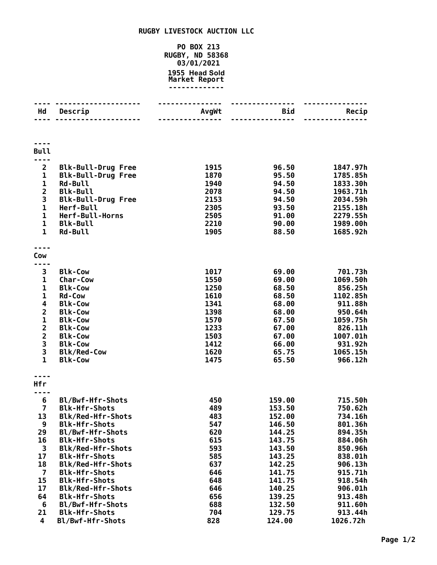## **RUGBY LIVESTOCK AUCTION LLC**

## **PO BOX 213 RUGBY, ND 58368 03/01/2021 Head Sold Market Report -------------**

| Hd                                         | Descrip                                  | AvgWt        | Bid              | Recip                |
|--------------------------------------------|------------------------------------------|--------------|------------------|----------------------|
|                                            |                                          |              | $\frac{1}{2}$    |                      |
|                                            |                                          |              |                  |                      |
| <b>Bull</b>                                |                                          |              |                  |                      |
| $\overline{2}$                             | <b>Blk-Bull-Drug Free</b>                | 1915         | 96.50            | 1847.97h             |
| $\mathbf{1}$                               | <b>Blk-Bull-Drug Free</b>                | 1870         | 95.50            | 1785.85h             |
| 1                                          | <b>Rd-Bull</b>                           | 1940         | 94.50            | 1833.30h             |
| $\overline{\mathbf{c}}$                    | <b>Blk-Bull</b>                          | 2078         | 94.50            | 1963.71h             |
| 3                                          | <b>Blk-Bull-Drug Free</b>                | 2153         | 94.50            | 2034.59h             |
| $\mathbf 1$                                | Herf-Bull                                | 2305         | 93.50            | 2155.18h             |
| $\mathbf{1}$<br>$\mathbf{1}$               | Herf-Bull-Horns                          | 2505<br>2210 | 91.00            | 2279.55h             |
| $\mathbf{1}$                               | <b>Blk-Bull</b><br><b>Rd-Bull</b>        | 1905         | 90.00<br>88.50   | 1989.00h<br>1685.92h |
|                                            |                                          |              |                  |                      |
| Cow                                        |                                          |              |                  |                      |
| 3                                          | <b>Blk-Cow</b>                           | 1017         | 69.00            | 701.73h              |
| 1                                          | Char-Cow                                 | 1550         | 69.00            | 1069.50h             |
| $\mathbf{1}$                               | <b>Blk-Cow</b>                           | 1250         | 68.50            | 856.25h              |
| 1                                          | <b>Rd-Cow</b>                            | 1610         | 68.50            | 1102.85h             |
| 4                                          | <b>Blk-Cow</b>                           | 1341         | 68.00            | 911.88h              |
| $\mathbf{2}$                               | <b>Blk-Cow</b>                           | 1398         | 68.00            | 950.64h              |
| $\mathbf 1$                                | <b>Blk-Cow</b>                           | 1570         | 67.50            | 1059.75h             |
| $\overline{\mathbf{c}}$                    | <b>Blk-Cow</b><br><b>Blk-Cow</b>         | 1233<br>1503 | 67.00<br>67.00   | 826.11h<br>1007.01h  |
| $\begin{array}{c} 2 \\ 3 \\ 3 \end{array}$ | <b>Blk-Cow</b>                           | 1412         | 66.00            | 931.92h              |
|                                            | <b>Blk/Red-Cow</b>                       | 1620         | 65.75            | 1065.15h             |
| $\mathbf{1}$                               | <b>Blk-Cow</b>                           | 1475         | 65.50            | 966.12h              |
|                                            |                                          |              |                  |                      |
| Hfr                                        |                                          |              |                  |                      |
| 6                                          | Bl/Bwf-Hfr-Shots                         | 450          | 159.00           | 715.50h              |
| $\overline{7}$                             | <b>Blk-Hfr-Shots</b>                     | 489          | 153.50           | 750.62h              |
| 13                                         | Blk/Red-Hfr-Shots                        | 483          | 152.00           | 734.16h              |
| 9<br>29                                    | <b>Blk-Hfr-Shots</b><br>Bl/Bwf-Hfr-Shots | 547<br>620   | 146.50<br>144.25 | 801.36h<br>894.35h   |
| 16                                         | <b>Blk-Hfr-Shots</b>                     | 615          | 143.75           | 884.06h              |
| 3                                          | <b>Blk/Red-Hfr-Shots</b>                 | 593          | 143.50           | 850.96h              |
| 17                                         | <b>Blk-Hfr-Shots</b>                     | 585          | 143.25           | 838.01h              |
| 18                                         | <b>Blk/Red-Hfr-Shots</b>                 | 637          | 142.25           | 906.13h              |
| $\overline{7}$                             | <b>Blk-Hfr-Shots</b>                     | 646          | 141.75           | 915.71h              |
| 15                                         | <b>Blk-Hfr-Shots</b>                     | 648          | 141.75           | 918.54h              |
| 17                                         | <b>Blk/Red-Hfr-Shots</b>                 | 646          | 140.25           | 906.01h              |
| 64<br>6                                    | <b>Blk-Hfr-Shots</b><br>Bl/Bwf-Hfr-Shots | 656<br>688   | 139.25<br>132.50 | 913.48h<br>911.60h   |
| 21                                         | <b>Blk-Hfr-Shots</b>                     | 704          | 129.75           | 913.44h              |
| $\overline{\mathbf{4}}$                    | Bl/Bwf-Hfr-Shots                         | 828          | 124.00           | 1026.72h             |